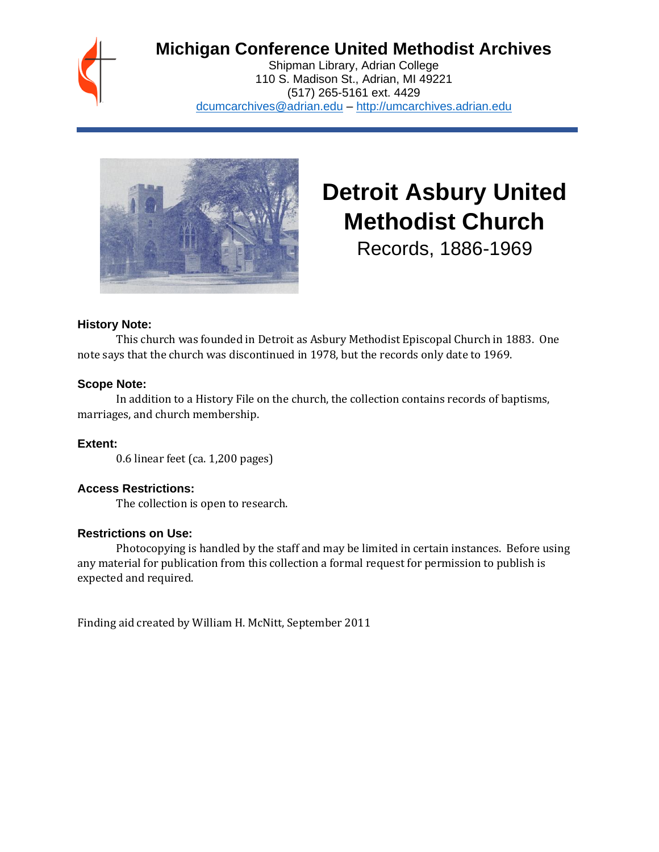

# **Michigan Conference United Methodist Archives**

Shipman Library, Adrian College 110 S. Madison St., Adrian, MI 49221 (517) 265-5161 ext. 4429 [dcumcarchives@adrian.edu](mailto:dcumcarchives@adrian.edu) – [http://umcarchives.adrian.edu](http://umcarchives.adrian.edu/)



# **Detroit Asbury United Methodist Church**

Records, 1886-1969

#### **History Note:**

This church was founded in Detroit as Asbury Methodist Episcopal Church in 1883. One note says that the church was discontinued in 1978, but the records only date to 1969.

# **Scope Note:**

In addition to a History File on the church, the collection contains records of baptisms, marriages, and church membership.

# **Extent:**

0.6 linear feet (ca. 1,200 pages)

# **Access Restrictions:**

The collection is open to research.

#### **Restrictions on Use:**

Photocopying is handled by the staff and may be limited in certain instances. Before using any material for publication from this collection a formal request for permission to publish is expected and required.

Finding aid created by William H. McNitt, September 2011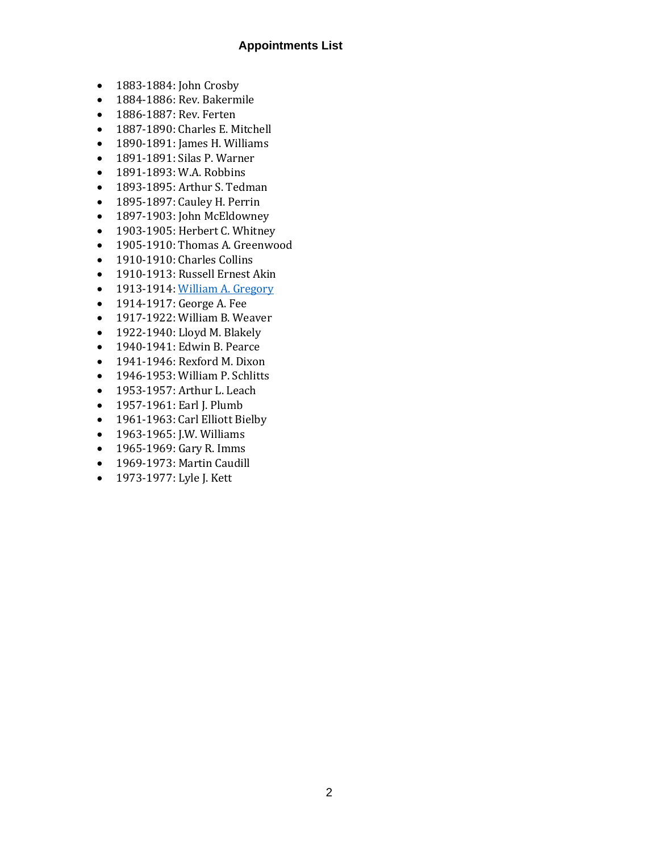#### **Appointments List**

- 1883-1884: John Crosby
- 1884-1886: Rev. Bakermile
- 1886-1887: Rev. Ferten
- 1887-1890: Charles E. Mitchell
- 1890-1891: James H. Williams
- 1891-1891: Silas P. Warner
- 1891-1893: W.A. Robbins
- 1893-1895: Arthur S. Tedman
- 1895-1897: Cauley H. Perrin
- 1897-1903: John McEldowney
- 1903-1905: Herbert C. Whitney
- 1905-1910: Thomas A. Greenwood
- 1910-1910: Charles Collins
- 1910-1913: Russell Ernest Akin
- 1913-1914[: William A. Gregory](http://umcarchives.adrian.edu/clergy/gregorywa.php)
- 1914-1917: George A. Fee
- 1917-1922: William B. Weaver
- 1922-1940: Lloyd M. Blakely
- 1940-1941: Edwin B. Pearce
- 1941-1946: Rexford M. Dixon
- 1946-1953: William P. Schlitts
- 1953-1957: Arthur L. Leach
- 1957-1961: Earl J. Plumb
- 1961-1963: Carl Elliott Bielby
- 1963-1965: J.W. Williams
- 1965-1969: Gary R. Imms
- 1969-1973: Martin Caudill
- 1973-1977: Lyle J. Kett